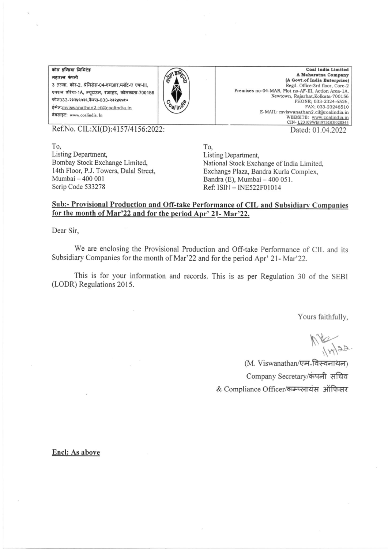कोल इण्डिया लिमिटेड महारत्न कंपनी 3 तल्ला, कोर-2, प्रेमिसेस-04-एमआर.प्लॉट-ए एफ-III. एक्शन एरिया-1A, न्यटाउन, रजरहट, कोलकाता-700156 फोन033-२३२४६५२६,फैक्स-033-२३२४६५१० ईमेल: mviswanathan2.cil@coalindia.in वेबसाइट: www.coalindia. In



**Coal India Limited** A Maharatna Company (A Govt.of India Enterprise) Regd. Office:3rd floor, Core-2 Premises no-04-MAR, Plot no-AF-III, Action Area-1A, Newtown, Rajarhat, Kolkata-700156 PHONE: 033-2324-6526. FAX: 033-23246510 E-MAIL: mviswanathan2.cil@coalindia.in WEBSITE: www.coalindia.in CIN-123109WB1973GOI028844 Dated: 01.04.2022

Ref.No. CIL:XI(D):4157/4156:2022:

To, Listing Department, Bombay Stock Exchange Limited, 14th Floor, P.J. Towers, Dalal Street. Mumbai - 400 001 Scrip Code 533278

To, Listing Department, National Stock Exchange of India Limited, Exchange Plaza, Bandra Kurla Complex, Bandra (E), Mumbai - 400 051. Ref: ISD I - INE522F01014

## Sub:- Provisional Production and Off-take Performance of CIL and Subsidiary Companies for the month of Mar'22 and for the period Apr' 21- Mar'22.

Dear Sir.

We are enclosing the Provisional Production and Off-take Performance of CIL and its Subsidiary Companies for the month of Mar'22 and for the period Apr' 21- Mar'22.

This is for your information and records. This is as per Regulation 30 of the SEBI (LODR) Regulations 2015.

Yours faithfully,

 $M_{H122}$ 

(M. Viswanathan/एम<sup>ृ</sup>विस्वनाथन) Company Secretary/कंपनी सचिव & Compliance Officer/कम्प्लायंस ऑफिसर

Encl: As above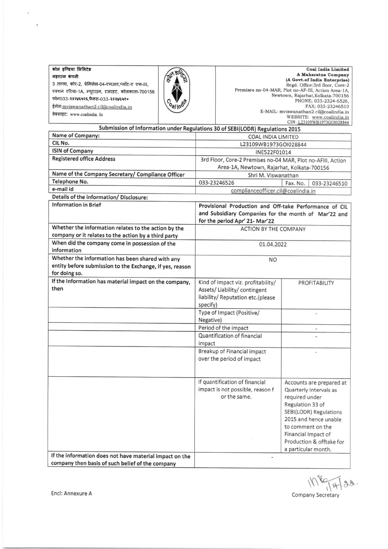| कोल इण्डिया लिमिटेड                                                                                                                                                                                              |                | <b>Coal India Limited</b>                                                                                                                                                                                                                                                                                    |
|------------------------------------------------------------------------------------------------------------------------------------------------------------------------------------------------------------------|----------------|--------------------------------------------------------------------------------------------------------------------------------------------------------------------------------------------------------------------------------------------------------------------------------------------------------------|
| महारत्न कंपनी                                                                                                                                                                                                    |                | A Maharatna Company                                                                                                                                                                                                                                                                                          |
| 3 तल्ला, कोर-2, प्रेमिसेस-04-एमआर,प्लॉट-ए एफ-III,<br>एक्शन एरिया-1A, न्यूटाउन, रजरहट, कोलकाता-700156<br>फोन033-२३२४६५२६,फैक्स-033-२३२४६५१०<br>ईमेल: mviswanathan2.cil@coalindia.in<br>वेबसाइट: www.coalindia. In | <b>Pallino</b> | (A Govt.of India Enterprise)<br>Regd. Office:3rd floor, Core-2<br>Premises no-04-MAR, Plot no-AF-III, Action Area-1A,<br>Newtown, Rajarhat, Kolkata-700156<br>PHONE; 033-2324-6526.<br>FAX; 033-23246510<br>E-MAIL: mviswanathan2.cil@coalindia.in<br>WEBSITE: www.coalindia.in<br>CIN-L23109WB1973GOI028844 |

| CITY- LEJIUJ W DIJ JUULULOOM<br>Submission of Information under Regulations 30 of SEBI(LODR) Regulations 2015 |                                                             |                                                        |  |  |
|---------------------------------------------------------------------------------------------------------------|-------------------------------------------------------------|--------------------------------------------------------|--|--|
| Name of Company:                                                                                              | <b>COAL INDIA LIMITED</b>                                   |                                                        |  |  |
| CIL No.                                                                                                       | L23109WB1973GOI028844                                       |                                                        |  |  |
| <b>ISIN of Company</b>                                                                                        | INE522F01014                                                |                                                        |  |  |
| <b>Registered office Address</b>                                                                              | 3rd Floor, Core-2 Premises no-04 MAR, Plot no-AFIII, Action |                                                        |  |  |
|                                                                                                               | Area-1A, Newtown, Rajarhat, Kolkata-700156                  |                                                        |  |  |
| Name of the Company Secretary/ Compliance Officer                                                             | Shri M. Viswanathan                                         |                                                        |  |  |
| Telephone No.                                                                                                 | 033-23246526                                                | Fax. No.<br>033-23246510                               |  |  |
| e-mail id                                                                                                     |                                                             | complianceofficer.cil@coalindia.in                     |  |  |
| Details of the information/ Disclosure:                                                                       |                                                             |                                                        |  |  |
| <b>Information in Brief</b>                                                                                   | Provisional Production and Off-take Performance of CIL      |                                                        |  |  |
|                                                                                                               | and Subsidiary Companies for the month of Mar'22 and        |                                                        |  |  |
|                                                                                                               | for the period Apr' 21- Mar'22                              |                                                        |  |  |
| Whether the information relates to the action by the                                                          | <b>ACTION BY THE COMPANY</b>                                |                                                        |  |  |
| company or it relates to the action by a third party                                                          |                                                             |                                                        |  |  |
| When did the company come in possession of the                                                                | 01.04.2022                                                  |                                                        |  |  |
| information                                                                                                   |                                                             |                                                        |  |  |
| Whether the information has been shared with any                                                              | NO.                                                         |                                                        |  |  |
| entity before submission to the Exchange, if yes, reason                                                      |                                                             |                                                        |  |  |
| for doing so.                                                                                                 |                                                             |                                                        |  |  |
| If the Information has material impact on the company,                                                        | Kind of Impact viz. profitability/                          | PROFITABILITY                                          |  |  |
| then                                                                                                          | Assets/Liability/contingent                                 |                                                        |  |  |
|                                                                                                               | liability/ Reputation etc.(please                           |                                                        |  |  |
|                                                                                                               | specify)                                                    |                                                        |  |  |
|                                                                                                               | Type of Impact (Positive/                                   |                                                        |  |  |
|                                                                                                               | Negative)                                                   |                                                        |  |  |
|                                                                                                               | Period of the impact                                        | $\overline{\phantom{a}}$                               |  |  |
|                                                                                                               | Quantification of financial                                 |                                                        |  |  |
|                                                                                                               | impact                                                      |                                                        |  |  |
|                                                                                                               | Breakup of Financial impact                                 |                                                        |  |  |
|                                                                                                               | over the period of impact                                   |                                                        |  |  |
|                                                                                                               |                                                             |                                                        |  |  |
|                                                                                                               |                                                             |                                                        |  |  |
|                                                                                                               | If quantification of financial                              | Accounts are prepared at                               |  |  |
|                                                                                                               | impact is not possible, reason f<br>or the same.            | Quarterly Intervals as                                 |  |  |
|                                                                                                               |                                                             | required under                                         |  |  |
|                                                                                                               |                                                             | Regulation 33 of                                       |  |  |
|                                                                                                               |                                                             | <b>SEBI(LODR) Regulations</b><br>2015 and hence unable |  |  |
|                                                                                                               |                                                             | to comment on the                                      |  |  |
|                                                                                                               |                                                             | Financial Impact of                                    |  |  |
|                                                                                                               |                                                             | Production & offtake for                               |  |  |
|                                                                                                               |                                                             | a particular month.                                    |  |  |
| If the information does not have material impact on the                                                       | $\overline{\phantom{a}}$                                    |                                                        |  |  |
| company then basis of such belief of the company                                                              |                                                             |                                                        |  |  |

 $10\frac{K}{14}g$ Company Secretary

Encl: Annexure A

 $\bar{t}$ 

 $\overline{\epsilon}$